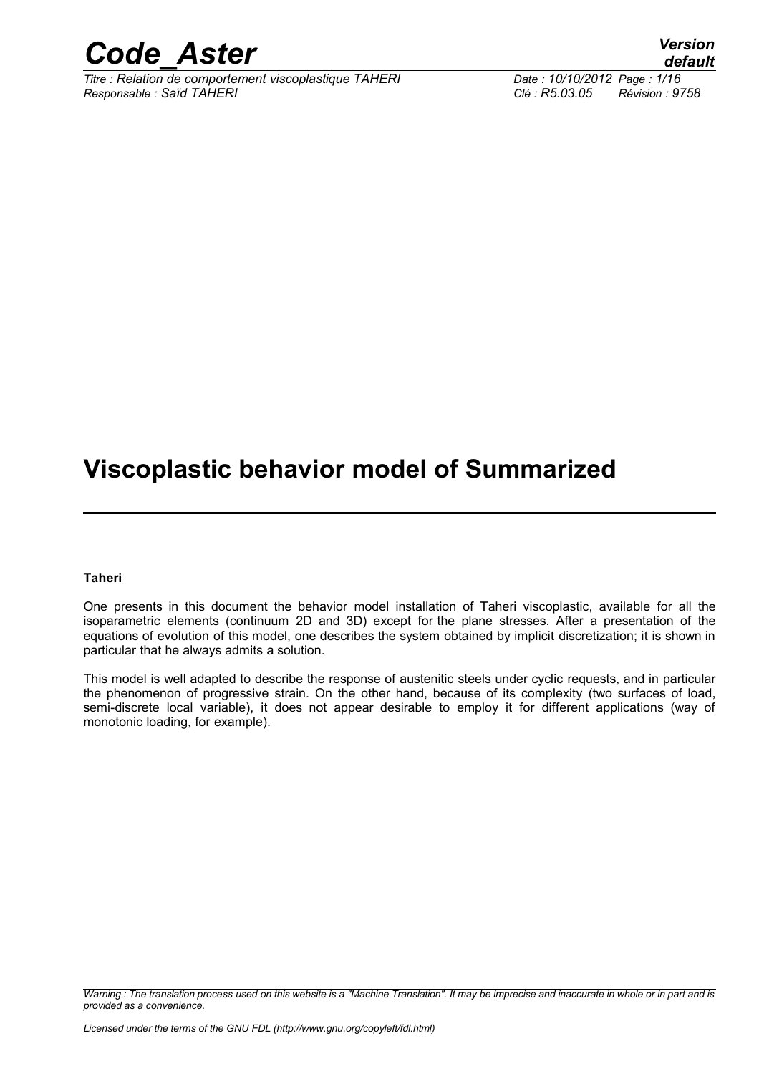

*Titre : Relation de comportement viscoplastique TAHERI Date : 10/10/2012 Page : 1/16 Responsable : Saïd TAHERI Clé : R5.03.05 Révision : 9758*

*default*

## **Viscoplastic behavior model of Summarized**

#### **Taheri**

One presents in this document the behavior model installation of Taheri viscoplastic, available for all the isoparametric elements (continuum 2D and 3D) except for the plane stresses. After a presentation of the equations of evolution of this model, one describes the system obtained by implicit discretization; it is shown in particular that he always admits a solution.

This model is well adapted to describe the response of austenitic steels under cyclic requests, and in particular the phenomenon of progressive strain. On the other hand, because of its complexity (two surfaces of load, semi-discrete local variable), it does not appear desirable to employ it for different applications (way of monotonic loading, for example).

*Warning : The translation process used on this website is a "Machine Translation". It may be imprecise and inaccurate in whole or in part and is provided as a convenience.*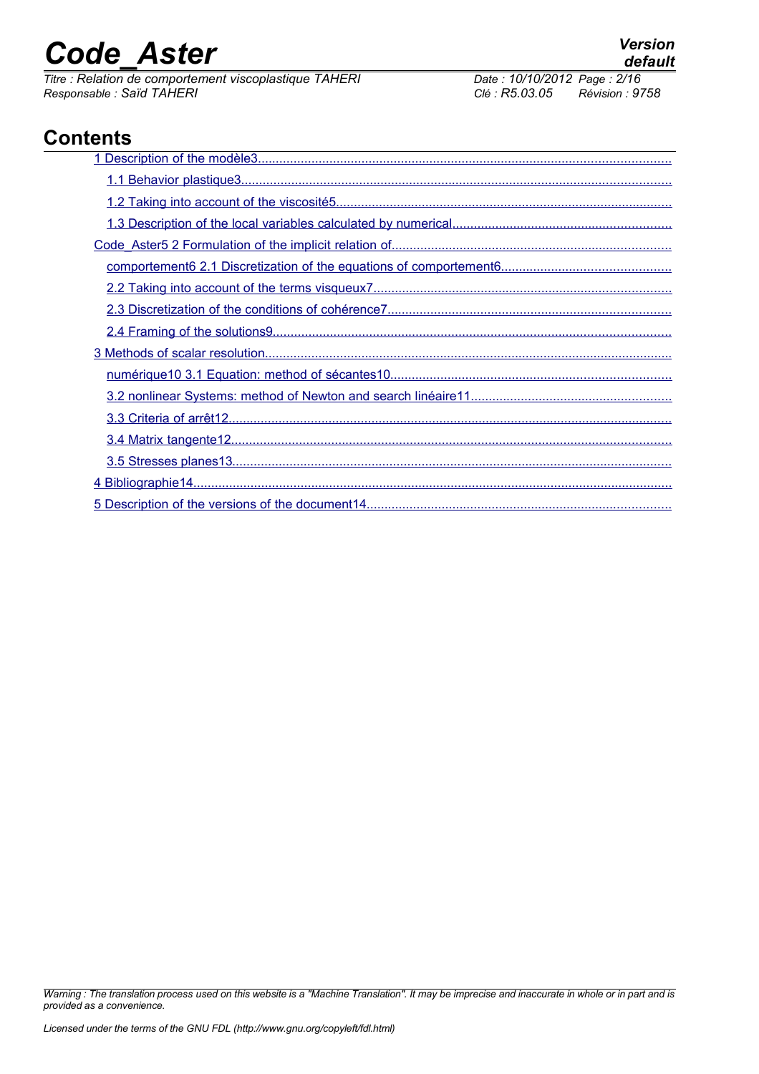*Titre : Relation de comportement viscoplastique TAHERI Date : 10/10/2012 Page : 2/16 Responsable : Saïd TAHERI Clé : R5.03.05 Révision : 9758*

## **Contents**

*Warning : The translation process used on this website is a "Machine Translation". It may be imprecise and inaccurate in whole or in part and is provided as a convenience.*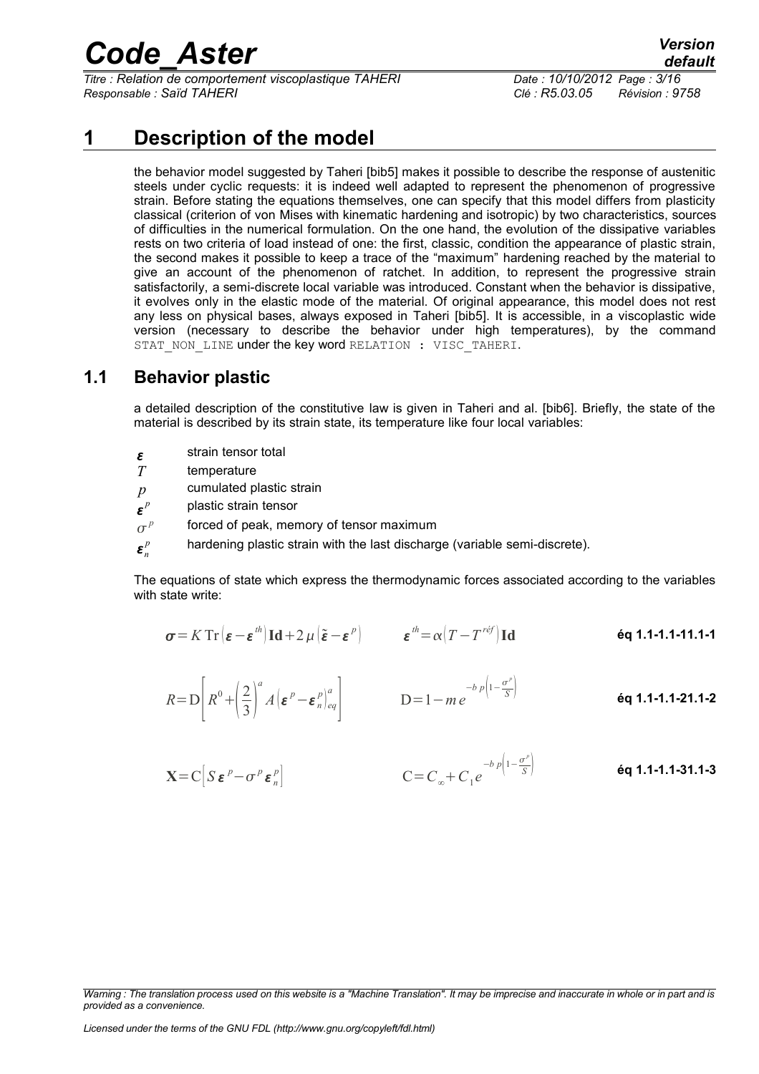*Titre : Relation de comportement viscoplastique TAHERI Date : 10/10/2012 Page : 3/16 Responsable : Saïd TAHERI Clé : R5.03.05 Révision : 9758*

*default*

## **1 Description of the model**

<span id="page-2-0"></span>the behavior model suggested by Taheri [bib5] makes it possible to describe the response of austenitic steels under cyclic requests: it is indeed well adapted to represent the phenomenon of progressive strain. Before stating the equations themselves, one can specify that this model differs from plasticity classical (criterion of von Mises with kinematic hardening and isotropic) by two characteristics, sources of difficulties in the numerical formulation. On the one hand, the evolution of the dissipative variables rests on two criteria of load instead of one: the first, classic, condition the appearance of plastic strain, the second makes it possible to keep a trace of the "maximum" hardening reached by the material to give an account of the phenomenon of ratchet. In addition, to represent the progressive strain satisfactorily, a semi-discrete local variable was introduced. Constant when the behavior is dissipative, it evolves only in the elastic mode of the material. Of original appearance, this model does not rest any less on physical bases, always exposed in Taheri [bib5]. It is accessible, in a viscoplastic wide version (necessary to describe the behavior under high temperatures), by the command STAT NON LINE under the key word RELATION : VISC TAHERI.

#### **1.1 Behavior plastic**

<span id="page-2-1"></span>a detailed description of the constitutive law is given in Taheri and al. [bib6]. Briefly, the state of the material is described by its strain state, its temperature like four local variables:

- $\mathbf{\varepsilon}$ strain tensor total
- *T* temperature
- *p* cumulated plastic strain
- $\mathbf{r}^p$ *p* plastic strain tensor
- $\sigma^p$ forced of peak, memory of tensor maximum
- $\boldsymbol{\varepsilon}_n^p$ hardening plastic strain with the last discharge (variable semi-discrete).

The equations of state which express the thermodynamic forces associated according to the variables with state write:

$$
\boldsymbol{\sigma} = K \operatorname{Tr} \left( \boldsymbol{\varepsilon} - \boldsymbol{\varepsilon}^{th} \right) \operatorname{Id} + 2 \, \mu \left( \tilde{\boldsymbol{\varepsilon}} - \boldsymbol{\varepsilon}^{p} \right) \qquad \qquad \boldsymbol{\varepsilon}^{th} = \alpha \big( T - T^{ref} \big) \operatorname{Id} \qquad \qquad \textbf{6q 1.1-1.1-11.1-1}
$$

$$
R = D\left[R^0 + \left(\frac{2}{3}\right)^a A\left(\varepsilon^p - \varepsilon_n^p\right)_{eq}^a\right] \qquad D = 1 - me^{-b p\left(1 - \frac{\sigma^p}{S}\right)}
$$
éq 1.1-1.1-21.1-2

$$
\mathbf{X} = \mathbf{C} \left[ S \, \boldsymbol{\varepsilon}^{\,p} - \sigma^{\,p} \, \boldsymbol{\varepsilon}^{\,p}_{n} \right] \qquad \qquad \mathbf{C} = C_{\infty} + C_{1} e^{-b \, p \left( 1 - \frac{\sigma^{\,p}}{S} \right)} \qquad \qquad \mathbf{6q \ 1.1 \text{-} 1.1 \text{-} 31.1 \text{-} 31.1 \text{-} 31.1 \text{-} 31.1 \text{-} 31.1 \text{-} 31.1 \text{-} 31.1 \text{-} 31.1 \text{-} 31.1 \text{-} 31.1 \text{-} 31.1 \text{-} 31.1 \text{-} 31.1 \text{-} 31.1 \text{-} 31.1 \text{-} 31.1 \text{-} 31.1 \text{-} 31.1 \text{-} 31.1 \text{-} 31.1 \text{-} 31.1 \text{-} 31.1 \text{-} 31.1 \text{-} 31.1 \text{-} 31.1 \text{-} 31.1 \text{-} 31.1 \text{-} 31.1 \text{-} 31.1 \text{-} 31.1 \text{-} 31.1 \text{-} 31.1 \text{-} 31.1 \text{-} 31.1 \text{-} 31.1 \text{-} 31.1 \text{-} 31.1 \text{-} 31.1 \text{-} 31.1 \text{-} 31.1 \text{-} 31.1 \text{-} 31.1 \text{-} 31.1 \text{-} 31.1 \text{-} 31.1 \text{-} 31.1 \text{-} 31.1 \text{-} 31.1 \text{-} 31.1 \text{-} 31.1 \text{-} 31.1 \text{-} 31.1 \text{-} 31.1 \text{-} 31.1 \text{-} 31.1 \text{-} 31.1 \text{-} 31.1 \text{-} 31.1 \text{-} 31.1 \text{-} 31.1 \text{-} 31.1 \text{-} 31.1 \text{-} 31.1 \text{-} 31.1 \text{-} 31.1 \text{-} 31.1 \text{-} 31.1 \text{-} 31.1 \text{-} 31.1 \text{-
$$

*Warning : The translation process used on this website is a "Machine Translation". It may be imprecise and inaccurate in whole or in part and is provided as a convenience.*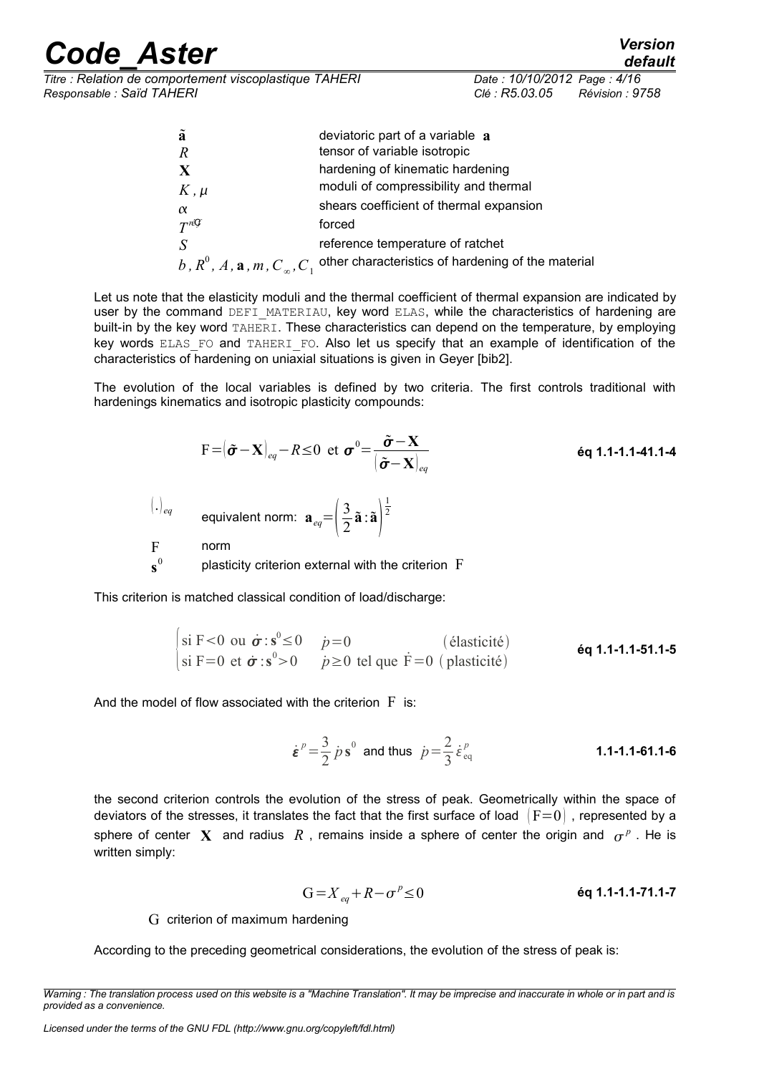| <b>Code Aster</b>                                                                   |                                               | <b>Version</b><br>default |
|-------------------------------------------------------------------------------------|-----------------------------------------------|---------------------------|
| Titre : Relation de comportement viscoplastique TAHERI<br>Responsable : Saïd TAHERI | Date: 10/10/2012 Page: 4/16<br>Clé : R5.03.05 | Révision : 9758           |

| ã                                        | deviatoric part of a variable $a$                  |
|------------------------------------------|----------------------------------------------------|
| $\boldsymbol{R}$                         | tensor of variable isotropic                       |
| $\mathbf X$                              | hardening of kinematic hardening                   |
| $K$ , $\mu$                              | moduli of compressibility and thermal              |
| $\alpha$                                 | shears coefficient of thermal expansion            |
| $T^{n\mathcal{G}}$                       | forced                                             |
| S                                        | reference temperature of ratchet                   |
| b, $R^0$ , A, a, m, $C_{\infty}$ , $C_1$ | other characteristics of hardening of the material |

Let us note that the elasticity moduli and the thermal coefficient of thermal expansion are indicated by user by the command DEFI\_MATERIAU, key word ELAS, while the characteristics of hardening are built-in by the key word TAHERI. These characteristics can depend on the temperature, by employing key words ELAS\_FO and TAHERI\_FO. Also let us specify that an example of identification of the characteristics of hardening on uniaxial situations is given in Geyer [bib2].

The evolution of the local variables is defined by two criteria. The first controls traditional with hardenings kinematics and isotropic plasticity compounds:

$$
F = (\tilde{\boldsymbol{\sigma}} - \mathbf{X})_{eq} - R \le 0 \text{ et } \boldsymbol{\sigma}^0 = \frac{\tilde{\boldsymbol{\sigma}} - \mathbf{X}}{|\tilde{\boldsymbol{\sigma}} - \mathbf{X}|_{eq}}
$$
\n
$$
(\cdot)_{eq}
$$
\nequivalent norm:  $\mathbf{a}_{eq} = \left(\frac{3}{2}\tilde{\mathbf{a}} : \tilde{\mathbf{a}}\right)^{\frac{1}{2}}$ \n
$$
F
$$
\n
$$
\mathbf{s}^0
$$
\nplasticity criterion external with the criterion  $F$ 

This criterion is matched classical condition of load/discharge:

$$
\begin{vmatrix}\n\sin F < 0 & \sin \sigma : s^0 \leq 0 & \dot{p} = 0 \\
\sin F = 0 & \cos^0 > 0 & \dot{p} \geq 0 & \text{tel que } \dot{F} = 0 \text{ (plasticité)}\n\end{vmatrix}
$$
\n
$$
\begin{vmatrix}\n\sin F < 0 & \sin \sigma : s^0 < 0 \\
\sin F < 0 & \dot{p} \geq 0 & \text{tel que } \dot{F} = 0 \text{ (plasticité)}\n\end{vmatrix}
$$

And the model of flow associated with the criterion  $\tilde{F}$  is:

$$
\dot{\epsilon}^p = \frac{3}{2} \dot{p} s^0
$$
 and thus  $\dot{p} = \frac{2}{3} \dot{\epsilon}_{eq}^p$  **1.1-1.1-61.1-6**

the second criterion controls the evolution of the stress of peak. Geometrically within the space of deviators of the stresses, it translates the fact that the first surface of load  $|F=0|$  , represented by a sphere of center  $\boldsymbol{X}$  and radius  $R$ , remains inside a sphere of center the origin and  $\sigma^p$ . He is written simply:

$$
G = X_{eq} + R - \sigma^p \le 0
$$
 \t\t\t\t**éq 1.1-1.1-71.1-7**

G criterion of maximum hardening

According to the preceding geometrical considerations, the evolution of the stress of peak is:

*Warning : The translation process used on this website is a "Machine Translation". It may be imprecise and inaccurate in whole or in part and is provided as a convenience.*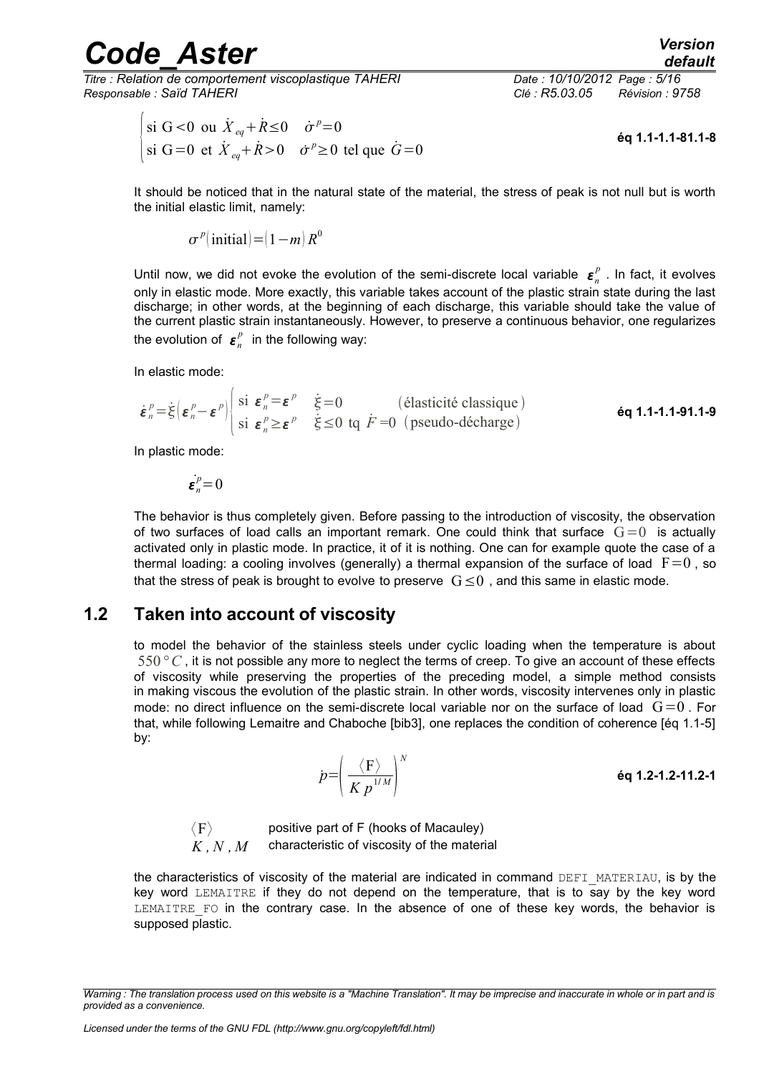*Titre : Relation de comportement viscoplastique TAHERI Date : 10/10/2012 Page : 5/16 Responsable : Saïd TAHERI Clé : R5.03.05 Révision : 9758*

$$
\begin{vmatrix}\n\sin G < 0 & \sin \dot{X}_{eq} + \dot{R} \le 0 & \dot{\sigma}^p = 0 \\
\sin G = 0 & \sin \dot{X}_{eq} + \dot{R} > 0 & \dot{\sigma}^p \ge 0\n\end{vmatrix}
$$
\n
$$
\text{Let } \dot{X}_{eq} + \dot{R} > 0 \quad \dot{\sigma}^p \ge 0 \text{ then } \dot{G} = 0
$$
\n
$$
\text{Let } \dot{X}_{eq} + \dot{R} > 0 \quad \dot{\sigma}^p \ge 0 \text{ then } \dot{G} = 0
$$

It should be noticed that in the natural state of the material, the stress of peak is not null but is worth the initial elastic limit, namely:

$$
\sigma^p(\text{initial}) = (1 - m) R^0
$$

Until now, we did not evoke the evolution of the semi-discrete local variable  $\bm{\varepsilon}_n^p$  . In fact, it evolves only in elastic mode. More exactly, this variable takes account of the plastic strain state during the last discharge; in other words, at the beginning of each discharge, this variable should take the value of the current plastic strain instantaneously. However, to preserve a continuous behavior, one regularizes the evolution of  $\boldsymbol{\varepsilon}_n^p$  in the following way:

In elastic mode:

$$
\dot{\boldsymbol{\varepsilon}}_n^p = \dot{\xi} \left( \boldsymbol{\varepsilon}_n^p - \boldsymbol{\varepsilon}^p \right) \begin{vmatrix} \text{si } \boldsymbol{\varepsilon}_n^p = \boldsymbol{\varepsilon}^p & \dot{\xi} = 0 & \text{(elastic ité classique)}\\ \text{si } \boldsymbol{\varepsilon}_n^p \geq \boldsymbol{\varepsilon}^p & \dot{\xi} \leq 0 \text{ to } \dot{F} = 0 & \text{(pseudo-décharge)} \end{vmatrix} \quad \text{\'eq 1.1-1.1-91.1-9}
$$

In plastic mode:

$$
\dot{\boldsymbol{\varepsilon}}_n^p=0
$$

The behavior is thus completely given. Before passing to the introduction of viscosity, the observation of two surfaces of load calls an important remark. One could think that surface  $G=0$  is actually activated only in plastic mode. In practice, it of it is nothing. One can for example quote the case of a thermal loading: a cooling involves (generally) a thermal expansion of the surface of load  $F=0$ , so that the stress of peak is brought to evolve to preserve  $G\leq 0$  , and this same in elastic mode.

#### **1.2 Taken into account of viscosity**

<span id="page-4-0"></span>to model the behavior of the stainless steels under cyclic loading when the temperature is about 550*°C* , it is not possible any more to neglect the terms of creep. To give an account of these effects of viscosity while preserving the properties of the preceding model, a simple method consists in making viscous the evolution of the plastic strain. In other words, viscosity intervenes only in plastic mode: no direct influence on the semi-discrete local variable nor on the surface of load  $G=0$ . For that, while following Lemaitre and Chaboche [bib3], one replaces the condition of coherence [éq 1.1-5] by:

$$
p = \left(\frac{\langle F \rangle}{K p^{1/M}}\right)^N
$$
éq 1.2-1.2-11.2-1

 $\langle F \rangle$  positive part of F (hooks of Macauley)<br>  $K$  N M characteristic of viscosity of the materi *K , N , M* characteristic of viscosity of the material

the characteristics of viscosity of the material are indicated in command DEFI\_MATERIAU, is by the key word LEMAITRE if they do not depend on the temperature, that is to say by the key word LEMAITRE FO in the contrary case. In the absence of one of these key words, the behavior is supposed plastic.

*Warning : The translation process used on this website is a "Machine Translation". It may be imprecise and inaccurate in whole or in part and is provided as a convenience.*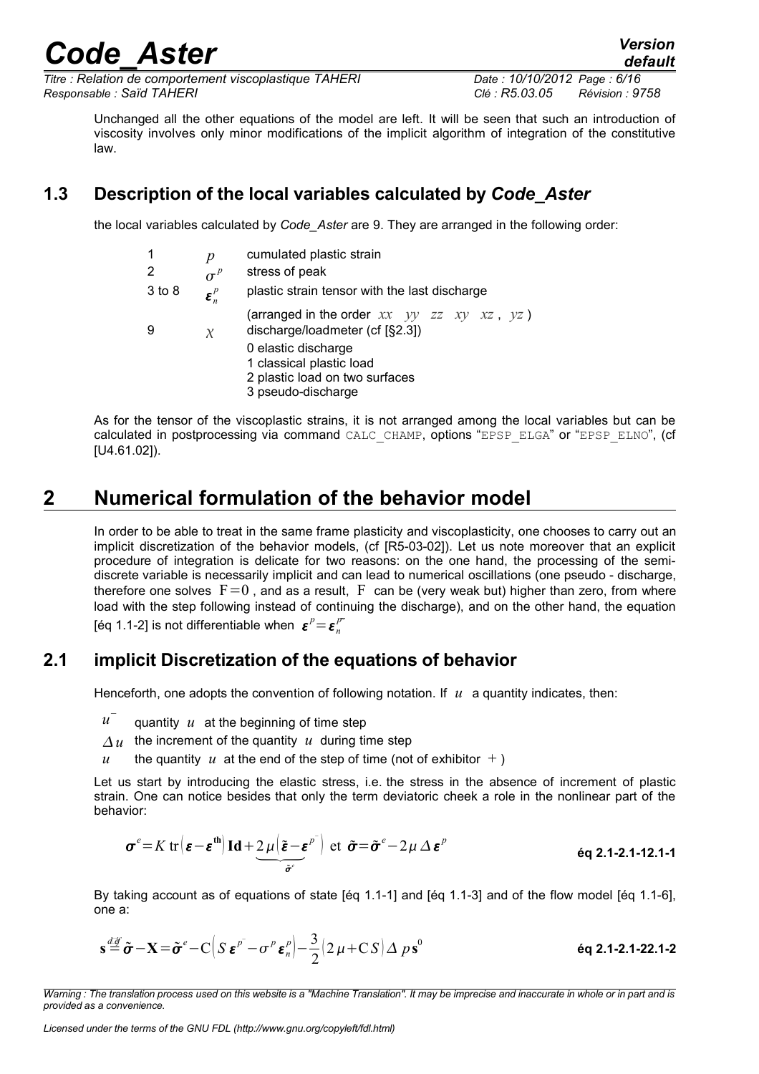*Titre : Relation de comportement viscoplastique TAHERI Date : 10/10/2012 Page : 6/16 Responsable : Saïd TAHERI Clé : R5.03.05 Révision : 9758*

*default*

Unchanged all the other equations of the model are left. It will be seen that such an introduction of viscosity involves only minor modifications of the implicit algorithm of integration of the constitutive law.

### **1.3 Description of the local variables calculated by** *Code\_Aster*

<span id="page-5-2"></span>the local variables calculated by *Code\_Aster* are 9. They are arranged in the following order:

| 1<br>2     | p<br>$\sigma^p$                | cumulated plastic strain<br>stress of peak                                                              |
|------------|--------------------------------|---------------------------------------------------------------------------------------------------------|
| $3$ to $8$ | $\boldsymbol{\varepsilon}_n^p$ | plastic strain tensor with the last discharge                                                           |
| 9          | $\chi$                         | (arranged in the order $xx$ $yy$ $zz$ $xy$ $xz$ , $yz$ )<br>discharge/loadmeter (cf [§2.3])             |
|            |                                | 0 elastic discharge<br>1 classical plastic load<br>2 plastic load on two surfaces<br>3 pseudo-discharge |

As for the tensor of the viscoplastic strains, it is not arranged among the local variables but can be calculated in postprocessing via command CALC\_CHAMP, options "EPSP\_ELGA" or "EPSP\_ELNO", (cf [U4.61.02]).

## **2 Numerical formulation of the behavior model**

<span id="page-5-1"></span>In order to be able to treat in the same frame plasticity and viscoplasticity, one chooses to carry out an implicit discretization of the behavior models, (cf [R5-03-02]). Let us note moreover that an explicit procedure of integration is delicate for two reasons: on the one hand, the processing of the semidiscrete variable is necessarily implicit and can lead to numerical oscillations (one pseudo - discharge, therefore one solves  $F=0$ , and as a result, F can be (very weak but) higher than zero, from where load with the step following instead of continuing the discharge), and on the other hand, the equation [éq 1.1-2] is not differentiable when  $\boldsymbol{\varepsilon}^p = \boldsymbol{\varepsilon}^p_n$ 

#### **2.1 implicit Discretization of the equations of behavior**

<span id="page-5-0"></span>Henceforth, one adopts the convention of following notation. If *u* a quantity indicates, then:

- *u* − quantity *u* at the beginning of time step
- $\Delta u$  the increment of the quantity *u* during time step
- *u* the quantity *u* at the end of the step of time (not of exhibitor  $+$ )

Let us start by introducing the elastic stress, i.e. the stress in the absence of increment of plastic strain. One can notice besides that only the term deviatoric cheek a role in the nonlinear part of the behavior:

$$
\boldsymbol{\sigma}^{e} = K \operatorname{tr} (\boldsymbol{\varepsilon} - \boldsymbol{\varepsilon}^{\text{th}}) \operatorname{Id} + 2 \mu (\boldsymbol{\tilde{\varepsilon}} - \boldsymbol{\varepsilon}^{p}) \operatorname{et} \tilde{\boldsymbol{\sigma}} = \tilde{\boldsymbol{\sigma}}^{e} - 2 \mu \Delta \boldsymbol{\varepsilon}^{p}
$$

By taking account as of equations of state [éq 1.1-1] and [éq 1.1-3] and of the flow model [éq 1.1-6], one a:

$$
\mathbf{s} \stackrel{d\mathcal{F}}{=} \tilde{\boldsymbol{\sigma}} - \mathbf{X} = \tilde{\boldsymbol{\sigma}}^e - C \Big( S \, \boldsymbol{\varepsilon}^{p^-} - \sigma^p \, \boldsymbol{\varepsilon}^p_n \Big) - \frac{3}{2} \Big( 2 \, \mu + C \, S \Big) \, \Delta \, p \, \mathbf{s}^0
$$
éq 2.1-2.1-22.1-2

*Warning : The translation process used on this website is a "Machine Translation". It may be imprecise and inaccurate in whole or in part and is provided as a convenience.*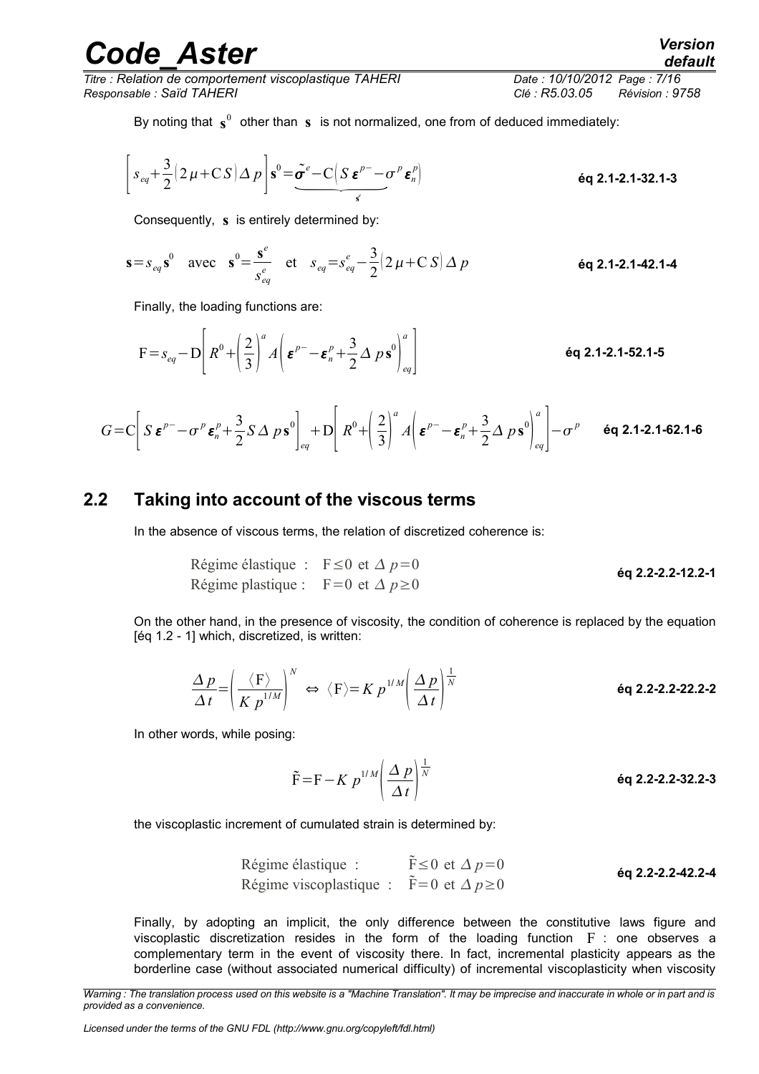*Titre : Relation de comportement viscoplastique TAHERI Date : 10/10/2012 Page : 7/16 Responsable : Saïd TAHERI Clé : R5.03.05 Révision : 9758*

By noting that 
$$
\mathbf{s}^0
$$
 other than **s** is not normalized, one from of deduced immediately:  
\n
$$
\left[ s_{eq} + \frac{3}{2} \left( 2 \mu + C S \right) \Delta p \right] \mathbf{s}^0 = \underbrace{\tilde{\sigma}^e - C \left( S \, \boldsymbol{\varepsilon}^{p-} - \sigma^p \, \boldsymbol{\varepsilon}_n^p \right)}_{\mathbf{s}^e} \qquad \text{Eq 2.1-2.1-32.1-3}
$$

Consequently, **s** is entirely determined by:

$$
\mathbf{s} = s_{eq} \mathbf{s}^0 \text{ avec } \mathbf{s}^0 = \frac{\mathbf{s}^e}{s_{eq}^e} \text{ et } s_{eq} = s_{eq}^e - \frac{3}{2} (2 \mu + C S) \Delta p \qquad \text{éq 2.1-2.1-42.1-4}
$$

Finally, the loading functions are:

$$
F = s_{eq} - D \left[ R^0 + \left( \frac{2}{3} \right)^a A \left( \mathbf{\varepsilon}^{p-} - \mathbf{\varepsilon}_n^p + \frac{3}{2} \Delta p \mathbf{s}^0 \right)_{eq}^a \right]
$$
 6q 2.1-2.1-52.1-5

$$
G = C \bigg[ S \, \boldsymbol{\varepsilon}^{p-} - \sigma^p \, \boldsymbol{\varepsilon}_n^p + \frac{3}{2} S \, \Delta \, p \, \mathbf{s}^0 \bigg]_{eq} + D \bigg[ R^0 + \bigg( \frac{2}{3} \bigg)^a A \bigg( \boldsymbol{\varepsilon}^{p-} - \boldsymbol{\varepsilon}_n^p + \frac{3}{2} \Delta \, p \, \mathbf{s}^0 \bigg)_{eq}^a \bigg] - \sigma^p \qquad \text{6q 2.1-2.1-62.1-6}
$$

#### **2.2 Taking into account of the viscous terms**

<span id="page-6-0"></span>In the absence of viscous terms, the relation of discretized coherence is:

$$
Régime élastique : F ≤ 0 et Δ p = 0
$$
\n
$$
Régime plasticque : F = 0 et Δ p ≥ 0
$$
\n
$$
6q 2.2-2.2-12.2-1
$$

On the other hand, in the presence of viscosity, the condition of coherence is replaced by the equation [éq 1.2 - 1] which, discretized, is written:

$$
\frac{\Delta p}{\Delta t} = \left(\frac{\langle F \rangle}{K \ p^{1/M}}\right)^N \Leftrightarrow \langle F \rangle = K \ p^{1/M} \left(\frac{\Delta p}{\Delta t}\right)^{\frac{1}{N}}
$$
\néq 2.2-2.2-22.2-2

In other words, while posing:

$$
\tilde{\mathbf{F}} = \mathbf{F} - K \ p^{1/M} \left( \frac{\Delta p}{\Delta t} \right)^{\frac{1}{N}}
$$
\n
$$
\mathbf{eq 2.2\text{-}2.2\text{-}32.2\text{-}3}
$$

the viscoplastic increment of cumulated strain is determined by:

Régime élastique : 
$$
\tilde{F} ≤ 0
$$
 et  $Δp = 0$    
égime viscoplastique :  $\tilde{F} = 0$  et  $Δp ≥ 0$    
 éq **2.2-2.2-42.2-4**

Finally, by adopting an implicit, the only difference between the constitutive laws figure and viscoplastic discretization resides in the form of the loading function  $F$  : one observes a complementary term in the event of viscosity there. In fact, incremental plasticity appears as the borderline case (without associated numerical difficulty) of incremental viscoplasticity when viscosity

*Licensed under the terms of the GNU FDL (http://www.gnu.org/copyleft/fdl.html)*

*Warning : The translation process used on this website is a "Machine Translation". It may be imprecise and inaccurate in whole or in part and is provided as a convenience.*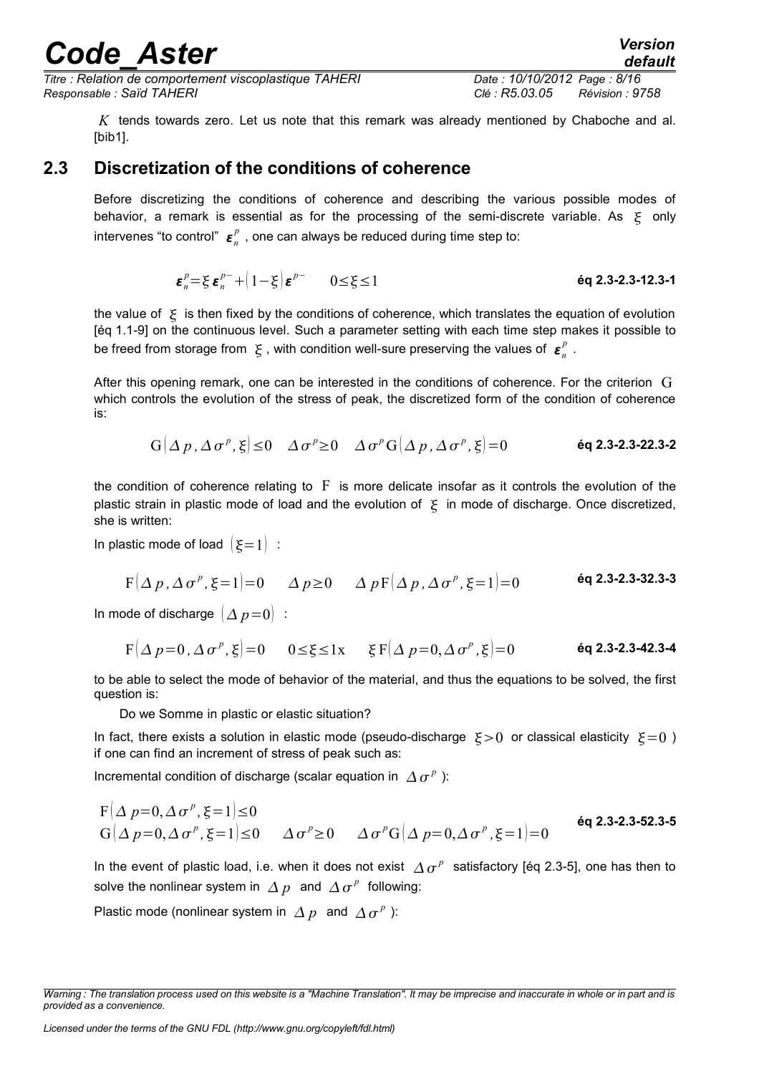*Titre : Relation de comportement viscoplastique TAHERI Date : 10/10/2012 Page : 8/16 Responsable : Saïd TAHERI Clé : R5.03.05 Révision : 9758*

*default*

*K* tends towards zero. Let us note that this remark was already mentioned by Chaboche and al. [bib1].

#### **2.3 Discretization of the conditions of coherence**

<span id="page-7-0"></span>Before discretizing the conditions of coherence and describing the various possible modes of behavior, a remark is essential as for the processing of the semi-discrete variable. As  $\xi$  only intervenes "to control"  $\bm{\varepsilon}_n^p$  , one can always be reduced during time step to:

$$
\varepsilon_n^p = \xi \, \varepsilon_n^{p-} + (1 - \xi) \, \varepsilon^{p-} \qquad 0 \le \xi \le 1 \tag{6q\,2.3-2.3-12.3-1}
$$

the value of  $\xi$  is then fixed by the conditions of coherence, which translates the equation of evolution [éq 1.1-9] on the continuous level. Such a parameter setting with each time step makes it possible to be freed from storage from  $\xi$ , with condition well-sure preserving the values of  $\varepsilon_n^p$ .

After this opening remark, one can be interested in the conditions of coherence. For the criterion G which controls the evolution of the stress of peak, the discretized form of the condition of coherence is:

 $G(\Delta p, \Delta \sigma^p, \xi) \leq 0 \quad \Delta \sigma^p \geq 0 \quad \Delta \sigma^p G(\Delta p, \Delta \sigma^p)$ *,* =0 **éq 2.3-2.3-22.3-2**

the condition of coherence relating to  $\overline{F}$  is more delicate insofar as it controls the evolution of the plastic strain in plastic mode of load and the evolution of  $\zeta$  in mode of discharge. Once discretized, she is written:

In plastic mode of load  $\mathcal{E}=1$  :

$$
F(\Delta p, \Delta \sigma^p, \xi=1)=0
$$
  $\Delta p\ge 0$   $\Delta pF(\Delta p, \Delta \sigma^p, \xi=1)=0$  **6q 2.3-2.3-32.3-3**

In mode of discharge  $(\Delta p=0)$  :

$$
F(\Delta p=0, \Delta \sigma^p, \xi) = 0 \qquad 0 \le \xi \le 1 \times \qquad \xi F(\Delta p=0, \Delta \sigma^p, \xi) = 0 \qquad \text{6q 2.3-2.3-42.3-4}
$$

to be able to select the mode of behavior of the material, and thus the equations to be solved, the first question is:

Do we Somme in plastic or elastic situation?

In fact, there exists a solution in elastic mode (pseudo-discharge  $\Sigma > 0$  or classical elasticity  $\Sigma = 0$ ) if one can find an increment of stress of peak such as:

Incremental condition of discharge (scalar equation in  $\Delta \sigma^p$ ):

$$
F(\Delta p=0, \Delta \sigma^p, \xi=1) \le 0
$$
  
\n
$$
G(\Delta p=0, \Delta \sigma^p, \xi=1) \le 0
$$
 
$$
\Delta \sigma^p \ge 0
$$
 
$$
\Delta \sigma^p G(\Delta p=0, \Delta \sigma^p, \xi=1) = 0
$$
 **6q 2.3-2.3-52.3-5**

In the event of plastic load, i.e. when it does not exist  $\vert\it{\Delta\sigma^p}\vert$  satisfactory [éq 2.3-5], one has then to solve the nonlinear system in  $\varDelta p\;$  and  $\varDelta\sigma^p\;$  following:

Plastic mode (nonlinear system in  $\Delta p$  and  $\Delta \sigma^p$ ):

*Warning : The translation process used on this website is a "Machine Translation". It may be imprecise and inaccurate in whole or in part and is provided as a convenience.*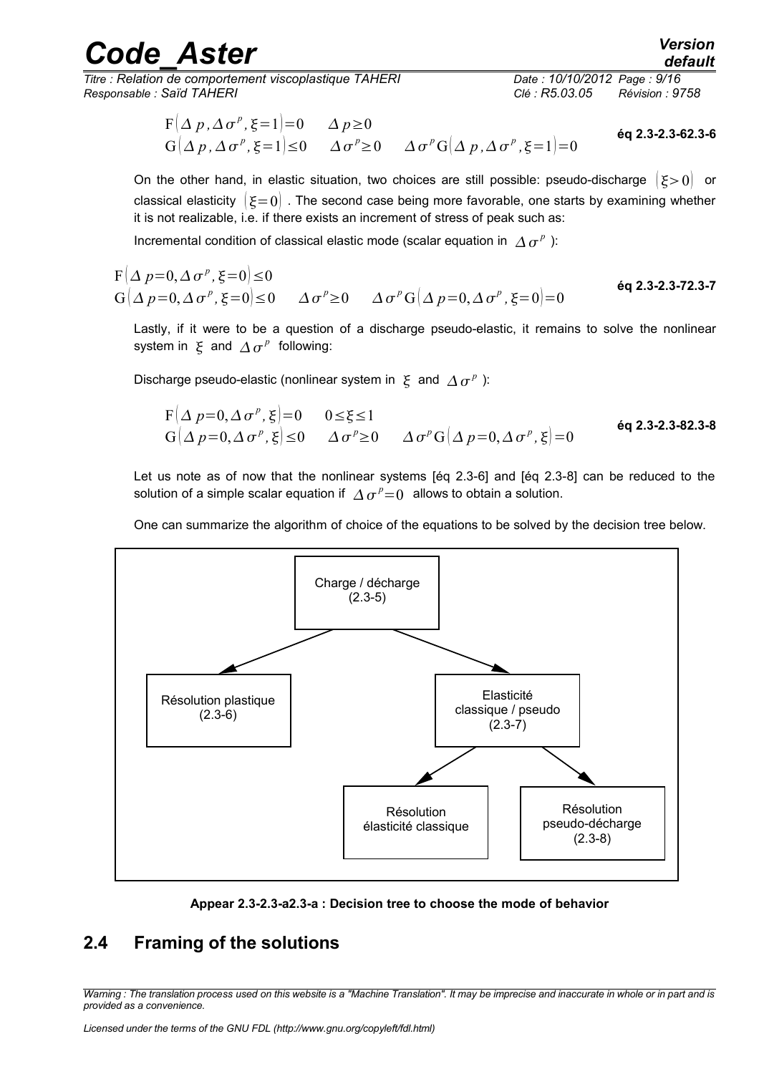*Titre : Relation de comportement viscoplastique TAHERI Date : 10/10/2012 Page : 9/16 Responsable : Saïd TAHERI Clé : R5.03.05 Révision : 9758*

$$
F(\Delta p, \Delta \sigma^p, \xi=1)=0 \quad \Delta p \ge 0
$$
  
\n
$$
G(\Delta p, \Delta \sigma^p, \xi=1) \le 0 \quad \Delta \sigma^p \ge 0 \quad \Delta \sigma^p G(\Delta p, \Delta \sigma^p, \xi=1)=0
$$
\n6q 2.3-2.3-62.3-6

On the other hand, in elastic situation, two choices are still possible: pseudo-discharge  $(\xi > 0)$  or classical elasticity  $\{\epsilon=0\}$ . The second case being more favorable, one starts by examining whether it is not realizable, i.e. if there exists an increment of stress of peak such as:

Incremental condition of classical elastic mode (scalar equation in  $\varDelta\,\sigma^{\,p}$  ):

$$
F(\Delta p=0, \Delta \sigma^p, \xi=0) \le 0
$$
  
\n
$$
G(\Delta p=0, \Delta \sigma^p, \xi=0) \le 0
$$
 
$$
\Delta \sigma^p \ge 0
$$
 
$$
\Delta \sigma^p G(\Delta p=0, \Delta \sigma^p, \xi=0) = 0
$$
 **éq 2.3-2.3-72.3-7**

Lastly, if it were to be a question of a discharge pseudo-elastic, it remains to solve the nonlinear system in  $\mathbf{\xi}$  and  $\mathbf{\Delta} \sigma^{p}$  following:

Discharge pseudo-elastic (nonlinear system in  $\vert \xi \vert$  and  $\vert \Delta \vert \sigma^p \vert$  ):

$$
F(\Delta p=0, \Delta \sigma^p, \xi)=0 \quad 0 \le \xi \le 1
$$
  
\n
$$
G(\Delta p=0, \Delta \sigma^p, \xi) \le 0 \quad \Delta \sigma^p \ge 0 \quad \Delta \sigma^p G(\Delta p=0, \Delta \sigma^p, \xi)=0
$$
\n
$$
\text{\'{eq 2.3-2.3-82.3-8}}
$$

Let us note as of now that the nonlinear systems [éq 2.3-6] and [éq 2.3-8] can be reduced to the solution of a simple scalar equation if  $\varDelta\,\sigma^{\,p}\!=\!0\;$  allows to obtain a solution.

One can summarize the algorithm of choice of the equations to be solved by the decision tree below.



**Appear 2.3-2.3-a2.3-a : Decision tree to choose the mode of behavior**

#### <span id="page-8-0"></span>**2.4 Framing of the solutions**

*Warning : The translation process used on this website is a "Machine Translation". It may be imprecise and inaccurate in whole or in part and is provided as a convenience.*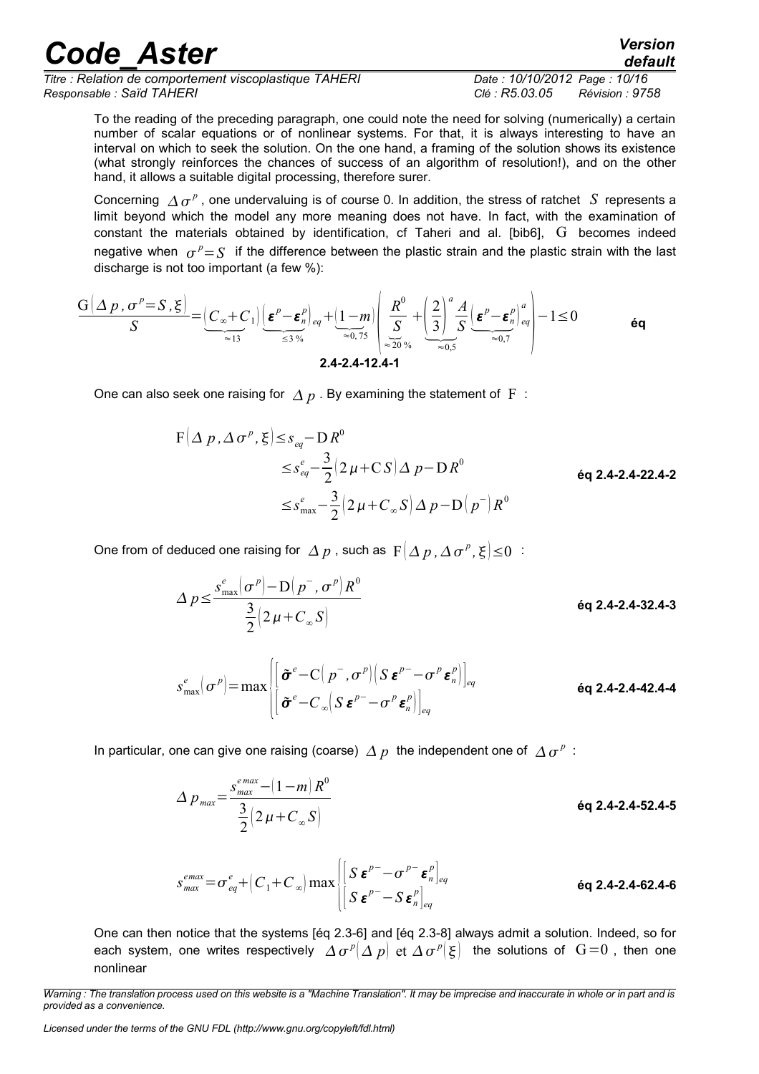| <b>Code Aster</b>                                      | <b>Version</b><br>default         |
|--------------------------------------------------------|-----------------------------------|
| Titre : Relation de comportement viscoplastique TAHERI | Date: 10/10/2012 Page: 10/16      |
| Responsable : Saïd TAHERI                              | Révision : 9758<br>Clé : R5.03.05 |

To the reading of the preceding paragraph, one could note the need for solving (numerically) a certain number of scalar equations or of nonlinear systems. For that, it is always interesting to have an interval on which to seek the solution. On the one hand, a framing of the solution shows its existence (what strongly reinforces the chances of success of an algorithm of resolution!), and on the other hand, it allows a suitable digital processing, therefore surer.

Concerning  $\Delta \sigma^p$ , one undervaluing is of course 0. In addition, the stress of ratchet *S* represents a limit beyond which the model any more meaning does not have. In fact, with the examination of constant the materials obtained by identification, cf Taheri and al. [bib6], G becomes indeed negative when  $\sigma^p = S$  if the difference between the plastic strain and the plastic strain with the last discharge is not too important (a few %):

$$
\frac{G(\Delta p, \sigma^p = S, \xi)}{S} = \underbrace{|C_{\infty} + C_1|}_{\approx 13} \underbrace{|\epsilon^p - \epsilon^p_n|_{eq}}_{\leq 3\%} + \underbrace{|1 - m|}_{\approx 0.75} \underbrace{|R^0|}_{\approx 20\%} + \underbrace{|2|}_{\approx 0.5}^a \underbrace{A}_{\approx 0.7} \underbrace{|\epsilon^p - \epsilon^p_n|_{eq}^a}_{\approx 0.7} - 1 \leq 0
$$

One can also seek one raising for  $\Delta p$ . By examining the statement of F :

$$
F(\Delta p, \Delta \sigma^{p}, \xi) \leq s_{eq} - D R^{0}
$$
  

$$
\leq s_{eq}^{e} - \frac{3}{2} (2 \mu + C S) \Delta p - D R^{0}
$$
  

$$
\leq s_{max}^{e} - \frac{3}{2} (2 \mu + C_{\infty} S) \Delta p - D (p^{-}) R^{0}
$$
  
éq 2.4-2.4-22.4-2

One from of deduced one raising for  $\varDelta~p$  , such as  $~\mathrm{F} \big( \varDelta~p$  ,  $\varDelta~\sigma^{\,p}$  ,  $\xi \big| \leq$   $0$   $\,$  :

$$
\Delta p \le \frac{s_{\text{max}}^e(\sigma^p) - D(p^-, \sigma^p)R^0}{\frac{3}{2}(2\mu + C_{\infty}S)}
$$
\n
$$
s_{\text{max}}^e(\sigma^p) = \max \left\{ \left[ \frac{\tilde{\sigma}^e - C(p^-, \sigma^p) \left( S \, \boldsymbol{\varepsilon}^{p^-} - \sigma^p \, \boldsymbol{\varepsilon}^p_n \right) \right]_{eq}}{\left[ \tilde{\sigma}^e - C_{\infty} \left( S \, \boldsymbol{\varepsilon}^{p^-} - \sigma^p \, \boldsymbol{\varepsilon}^p_n \right) \right]_{eq}} \right\}
$$
\néq 2.4-2.4-42.4-4

In particular, one can give one raising (coarse)  $\varDelta p\;$  the independent one of  $\varDelta\,\sigma^{\,p}\,$  :

 $\left[ \left. \tilde{\boldsymbol{\sigma}}^e\!-\!C_{\infty}\! \! \left( S \, \boldsymbol{\varepsilon}^{p-}\!-\! \sigma^p \, \boldsymbol{\varepsilon}_n^p \right) \right]_{eq}$ 

$$
\Delta p_{\text{max}} = \frac{s_{\text{max}}^{\text{emax}} - (1 - m) R^0}{\frac{3}{2} (2 \mu + C_{\infty} S)}
$$
éq 2.4-2.4-52.4-5

$$
s_{max}^{emax} = \sigma_{eq}^{e} + \left(C_1 + C_{\infty}\right) \max \begin{bmatrix} \left[S \boldsymbol{\varepsilon}^{p-} - \sigma^{p-} \boldsymbol{\varepsilon}^{p}_{n}\right]_{eq} \\ \left[S \boldsymbol{\varepsilon}^{p-} - S \boldsymbol{\varepsilon}^{p}_{n}\right]_{eq} \end{bmatrix}
$$
éq 2.4-2.4-62.4-6

One can then notice that the systems [éq 2.3-6] and [éq 2.3-8] always admit a solution. Indeed, so for each system, one writes respectively  $\varDelta\,\sigma^{\,p}(\varDelta\,p)$  et  $\varDelta\,\sigma^{\,p}(\xi)$  the solutions of  $\,G\!=\!0$  , then one nonlinear

*Warning : The translation process used on this website is a "Machine Translation". It may be imprecise and inaccurate in whole or in part and is provided as a convenience.*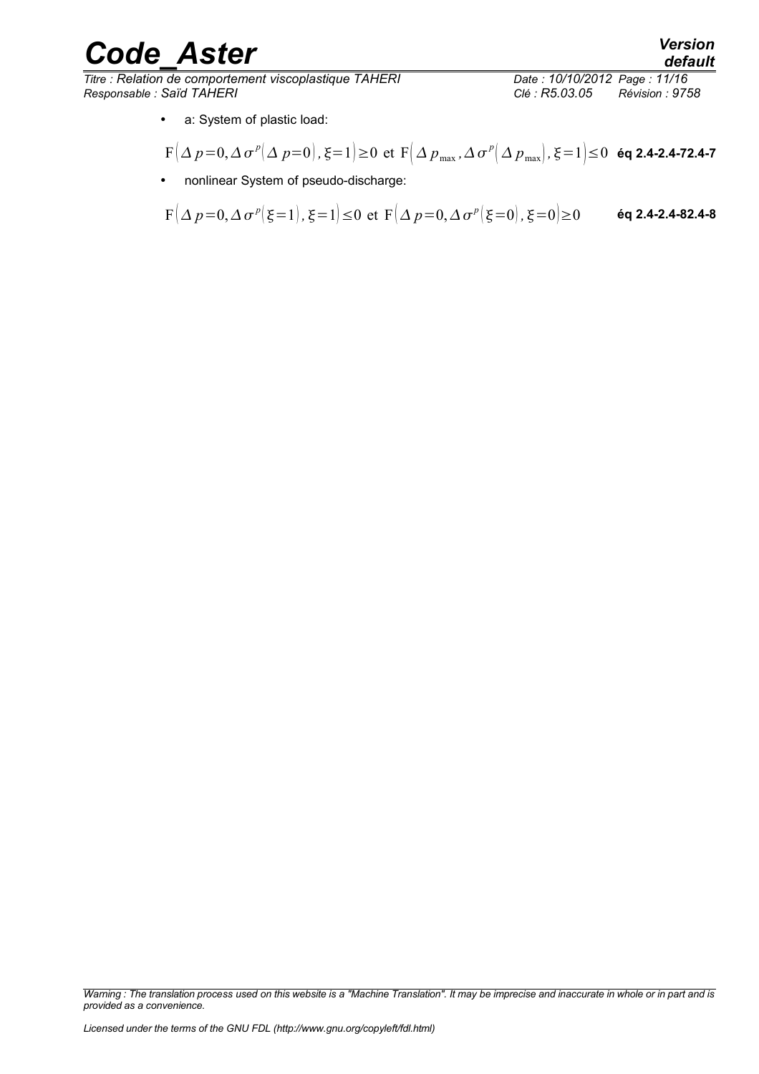$\overline{T}$ itre : Relation de comportement viscoplastique TAHERI *Responsable : Saïd TAHERI Clé : R5.03.05 Révision : 9758*

- a: System of plastic load:
- $\mathbf{F}\big(\Delta\,p\!=\!0,\Delta\,\sigma^{\:\!p}\big(\Delta\,p\!=\!0\big)$  ,  $\xi\!=\!1\big)\!\ge\!0\,$  et  $\,\mathbf{F}\big(\Delta\,p_{\scriptscriptstyle\max},\Delta\,\sigma^{\:\!p}\big(\Delta\,p_{\scriptscriptstyle\max}\big)$  ,  $\xi\!=\!1\big)\!\le\!0\,$  éq 2.4-2.4-72.4-7
- nonlinear System of pseudo-discharge:

$$
F(\Delta p=0, \Delta \sigma^p | \xi=1), \xi=1) \le 0 \text{ et } F(\Delta p=0, \Delta \sigma^p | \xi=0), \xi=0) \ge 0 \qquad \text{\'{e}q 2.4-2.4-82.4-8}
$$

*Warning : The translation process used on this website is a "Machine Translation". It may be imprecise and inaccurate in whole or in part and is provided as a convenience.*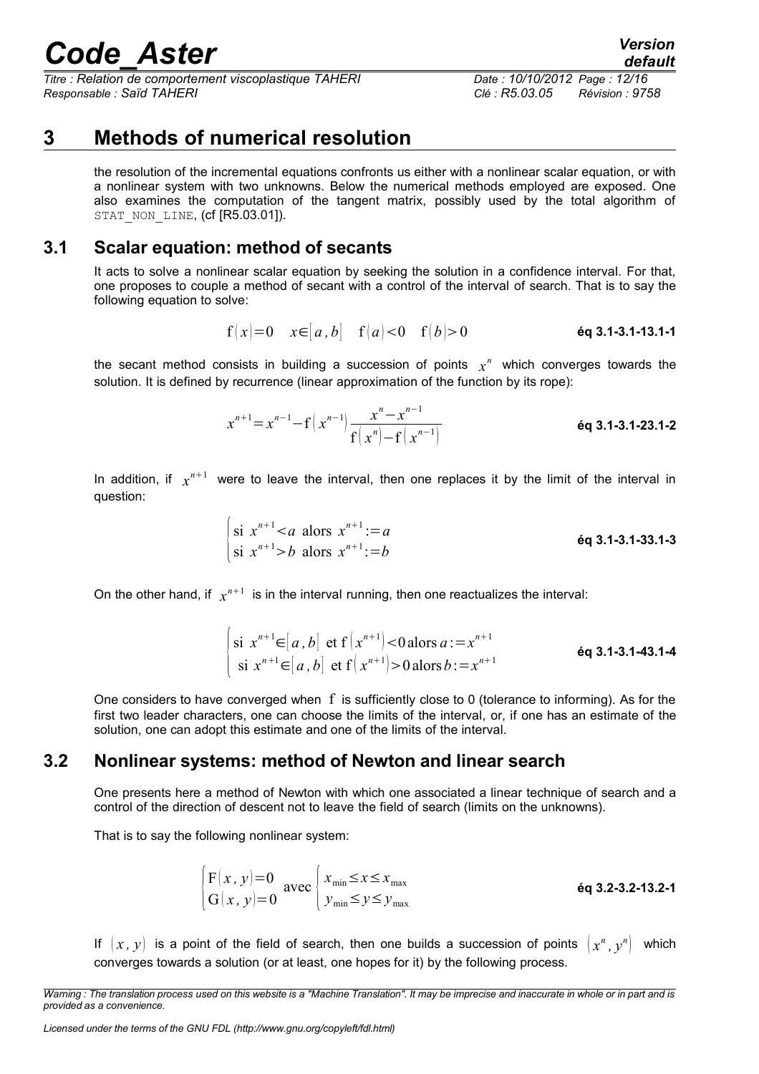*Titre : Relation de comportement viscoplastique TAHERI Date : 10/10/2012 Page : 12/16 Responsable : Saïd TAHERI Clé : R5.03.05 Révision : 9758*

## **3 Methods of numerical resolution**

<span id="page-11-2"></span>the resolution of the incremental equations confronts us either with a nonlinear scalar equation, or with a nonlinear system with two unknowns. Below the numerical methods employed are exposed. One also examines the computation of the tangent matrix, possibly used by the total algorithm of STAT\_NON\_LINE, (cf [R5.03.01]).

#### **3.1 Scalar equation: method of secants**

<span id="page-11-1"></span>It acts to solve a nonlinear scalar equation by seeking the solution in a confidence interval. For that, one proposes to couple a method of secant with a control of the interval of search. That is to say the following equation to solve:

$$
f(x)=0
$$
  $x \in [a, b]$   $f(a) < 0$   $f(b) > 0$  *éq 3.1-3.1-13.1-1*

the secant method consists in building a succession of points  $x^n$  which converges towards the solution. It is defined by recurrence (linear approximation of the function by its rope):

$$
x^{n+1} = x^{n-1} - f\left(x^{n-1}\right) \frac{x^n - x^{n-1}}{f\left(x^n\right) - f\left(x^{n-1}\right)}
$$
éq 3.1-3.1-23.1-2

In addition, if  $x^{n+1}$  were to leave the interval, then one replaces it by the limit of the interval in question:

$$
\begin{cases}\n\text{si } x^{n+1} < a \text{ alors } x^{n+1} := a \\
\text{si } x^{n+1} > b \text{ alors } x^{n+1} := b\n\end{cases}
$$
\n
$$
\text{éq 3.1-3.1-33.1-3}
$$

On the other hand, if  $x^{n+1}$  is in the interval running, then one reactualizes the interval:

$$
\begin{cases}\n\text{si } x^{n+1} \in [a, b] \text{ et } f(x^{n+1}) < 0 \text{ alors } a := x^{n+1} \\
\text{si } x^{n+1} \in [a, b] \text{ et } f(x^{n+1}) > 0 \text{ alors } b := x^{n+1}\n\end{cases}
$$
\n
$$
\text{éq 3.1-3.1-43.1-4}
$$

One considers to have converged when  $f$  is sufficiently close to 0 (tolerance to informing). As for the first two leader characters, one can choose the limits of the interval, or, if one has an estimate of the solution, one can adopt this estimate and one of the limits of the interval.

#### **3.2 Nonlinear systems: method of Newton and linear search**

<span id="page-11-0"></span>One presents here a method of Newton with which one associated a linear technique of search and a control of the direction of descent not to leave the field of search (limits on the unknowns).

That is to say the following nonlinear system:

$$
\begin{cases}\nF(x, y) = 0 \\
G(x, y) = 0\n\end{cases} \text{ avec } \begin{cases}\nx_{\text{min}} \le x \le x_{\text{max}} \\
y_{\text{min}} \le y \le y_{\text{max}}\n\end{cases}\n\text{ éq 3.2-3.2-13.2-1}
$$

If  $(x, y)$  is a point of the field of search, then one builds a succession of points  $(x^n, y^n)$  which converges towards a solution (or at least, one hopes for it) by the following process.

*Warning : The translation process used on this website is a "Machine Translation". It may be imprecise and inaccurate in whole or in part and is provided as a convenience.*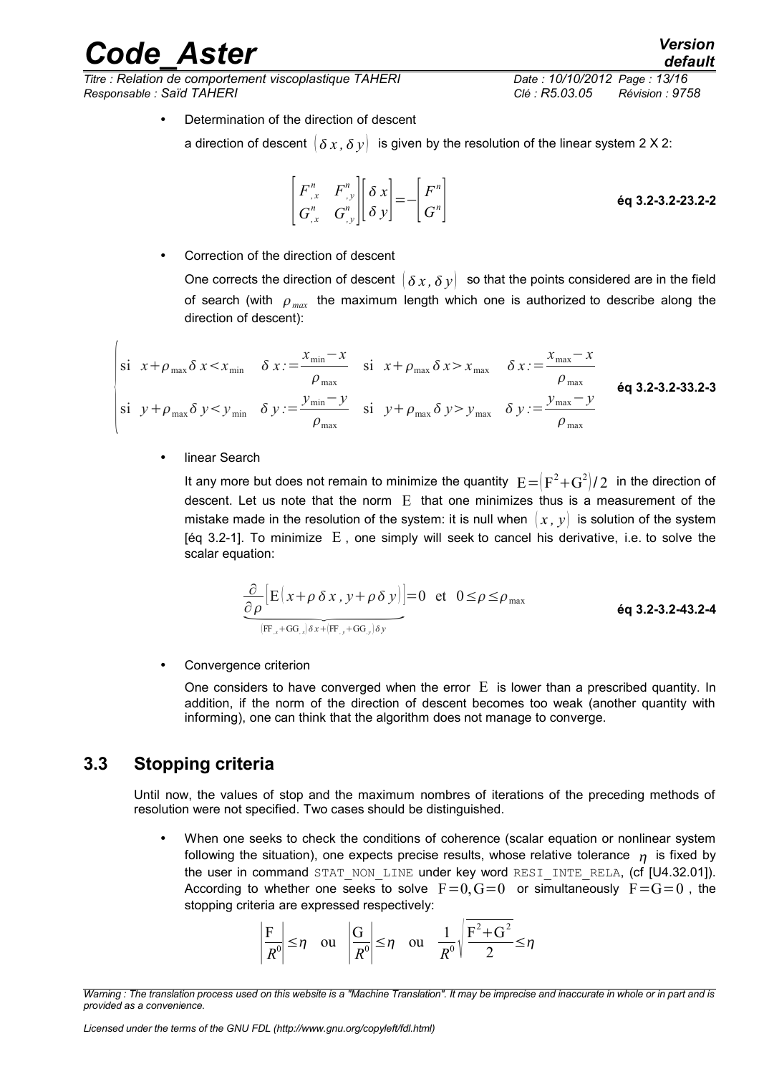*Titre : Relation de comportement viscoplastique TAHERI Date : 10/10/2012 Page : 13/16 Responsable : Saïd TAHERI Clé : R5.03.05 Révision : 9758*

• Determination of the direction of descent

a direction of descent  $\langle \delta x, \delta y \rangle$  is given by the resolution of the linear system 2 X 2:

$$
\begin{bmatrix} F^n, & F^n, \\ G^n, & G^n, \end{bmatrix} \begin{bmatrix} \delta x \\ \delta y \end{bmatrix} = - \begin{bmatrix} F^n \\ G^n \end{bmatrix}
$$

• Correction of the direction of descent

One corrects the direction of descent  $\{\delta x, \delta y\}$  so that the points considered are in the field of search (with  $\rho_{max}$  the maximum length which one is authorized to describe along the direction of descent):

$$
\begin{vmatrix}\nsi & x + \rho_{\max} \delta x < x_{\min} & \delta x := \frac{x_{\min} - x}{\rho_{\max}} & \nsi & x + \rho_{\max} \delta x > x_{\max} & \delta x := \frac{x_{\max} - x}{\rho_{\max}} \\
s i & y + \rho_{\max} \delta y < y_{\min} & \delta y := \frac{y_{\min} - y}{\rho_{\max}} & \nsi & y + \rho_{\max} \delta y > y_{\max} & \delta y := \frac{y_{\max} - y}{\rho_{\max}}\n\end{vmatrix}
$$
\n6q 3.2-3.2-33.2-3

linear Search

It any more but does not remain to minimize the quantity  $|E\!=\!(\text{F}^2\!+\!\text{G}^2\!)/2$  in the direction of descent. Let us note that the norm  $E$  that one minimizes thus is a measurement of the mistake made in the resolution of the system: it is null when  $(x, y)$  is solution of the system [éq 3.2-1]. To minimize  $E$ , one simply will seek to cancel his derivative, i.e. to solve the scalar equation: Let us note that the norm I<br>
inde in the resolution of the s<br>
To minimize E, one simp<br>
intion:<br>  $\frac{\partial}{\partial \rho} [E(x+\rho \delta x, y+\rho \delta y)]$ <br>  $\frac{\partial}{\partial r}$ 

$$
\frac{\partial}{\partial \rho} \Big[ E(x + \rho \, \delta \, x \, , \, y + \rho \, \delta \, y) \Big] = 0 \quad \text{et} \quad 0 \le \rho \le \rho_{\text{max}}
$$
\n
$$
\frac{\partial}{\langle F \rangle_{x} + \text{GG}_{x} \rangle \delta x + \langle F \rangle_{y} + \text{GG}_{y} \rangle \delta y} \qquad \text{eq 3.2-3.2-43.2-4}
$$

Convergence criterion

One considers to have converged when the error  $E$  is lower than a prescribed quantity. In addition, if the norm of the direction of descent becomes too weak (another quantity with informing), one can think that the algorithm does not manage to converge.

#### **3.3 Stopping criteria**

<span id="page-12-0"></span>Until now, the values of stop and the maximum nombres of iterations of the preceding methods of resolution were not specified. Two cases should be distinguished.

• When one seeks to check the conditions of coherence (scalar equation or nonlinear system following the situation), one expects precise results, whose relative tolerance  $\eta$  is fixed by the user in command STAT\_NON\_LINE under key word RESI\_INTE\_RELA, (cf [U4.32.01]). According to whether one seeks to solve  $F=0$ ,  $G=0$  or simultaneously  $F=G=0$ , the stopping criteria are expressed respectively:

$$
\left|\frac{F}{R^0}\right| \le \eta \quad \text{ou} \quad \left|\frac{G}{R^0}\right| \le \eta \quad \text{ou} \quad \frac{1}{R^0} \sqrt{\frac{F^2 + G^2}{2}} \le \eta
$$

*Warning : The translation process used on this website is a "Machine Translation". It may be imprecise and inaccurate in whole or in part and is provided as a convenience.*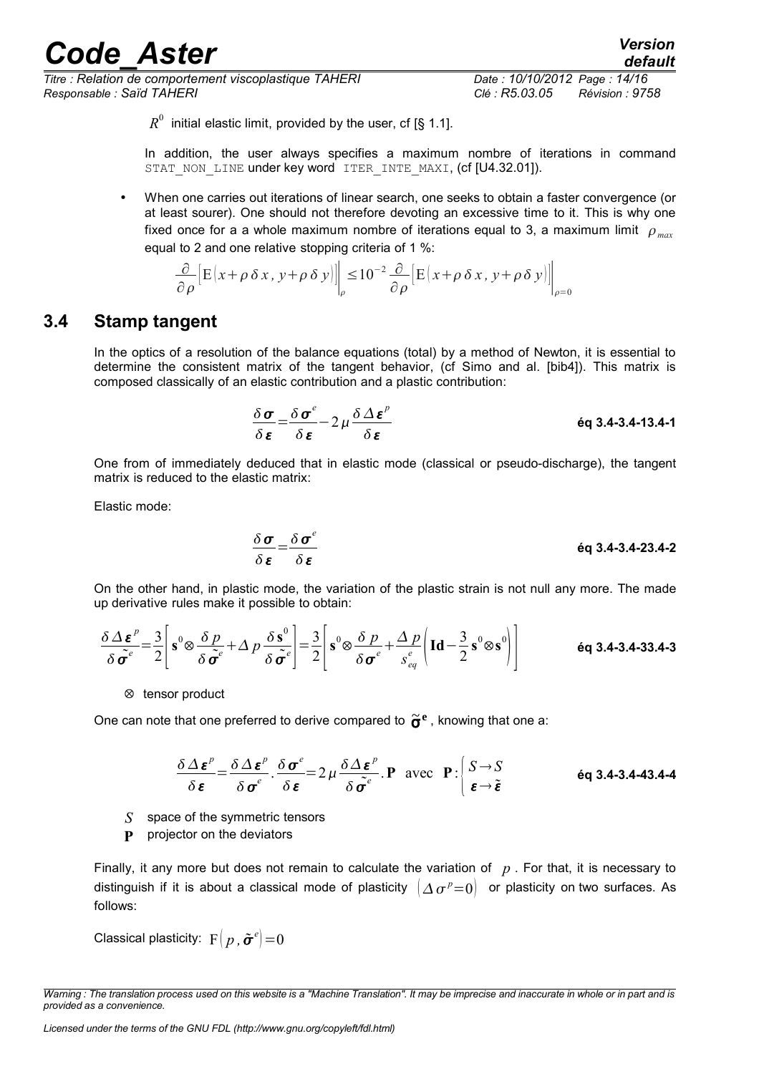*Titre : Relation de comportement viscoplastique TAHERI Date : 10/10/2012 Page : 14/16 Responsable : Saïd TAHERI Clé : R5.03.05 Révision : 9758*

*default*

 $R^0$  initial elastic limit, provided by the user, cf [§ 1.1].

In addition, the user always specifies a maximum nombre of iterations in command STAT NON LINE under key word ITER INTE MAXI, (cf [U4.32.01]).

• When one carries out iterations of linear search, one seeks to obtain a faster convergence (or at least sourer). One should not therefore devoting an excessive time to it. This is why one fixed once for a a whole maximum nombre of iterations equal to 3, a maximum limit  $\rho_{max}$ equal to 2 and one relative stopping criteria of 1 %:

$$
\frac{\partial}{\partial \rho} \Big[ E(x + \rho \, \delta \, x, \, y + \rho \, \delta \, y) \Big] \Big|_{\rho} \leq 10^{-2} \frac{\partial}{\partial \rho} \Big[ E(x + \rho \, \delta \, x, \, y + \rho \, \delta \, y) \Big] \Big|_{\rho=0}
$$

#### **3.4 Stamp tangent**

<span id="page-13-0"></span>In the optics of a resolution of the balance equations (total) by a method of Newton, it is essential to determine the consistent matrix of the tangent behavior, (cf Simo and al. [bib4]). This matrix is composed classically of an elastic contribution and a plastic contribution:

$$
\frac{\delta \sigma}{\delta \epsilon} = \frac{\delta \sigma^e}{\delta \epsilon} - 2 \mu \frac{\delta \Delta \epsilon^p}{\delta \epsilon}
$$

One from of immediately deduced that in elastic mode (classical or pseudo-discharge), the tangent matrix is reduced to the elastic matrix:

Elastic mode:

 = *e* **éq 3.4-3.4-23.4-2**

On the other hand, in plastic mode, the variation of the plastic strain is not null any more. The made up derivative rules make it possible to obtain:

$$
\frac{\delta \Delta \boldsymbol{\varepsilon}^p}{\delta \tilde{\boldsymbol{\sigma}}^e} = \frac{3}{2} \left[ \mathbf{s}^0 \otimes \frac{\delta p}{\delta \tilde{\boldsymbol{\sigma}}^e} + \Delta p \frac{\delta \mathbf{s}^0}{\delta \tilde{\boldsymbol{\sigma}}^e} \right] = \frac{3}{2} \left[ \mathbf{s}^0 \otimes \frac{\delta p}{\delta \boldsymbol{\sigma}^e} + \frac{\Delta p}{s_{eq}^e} \left( \mathbf{Id} - \frac{3}{2} \mathbf{s}^0 \otimes \mathbf{s}^0 \right) \right]
$$

⊗ tensor product

One can note that one preferred to derive compared to ~<sup>σ</sup> **e** , knowing that one a:

$$
\frac{\delta \Delta \boldsymbol{\varepsilon}^p}{\delta \boldsymbol{\varepsilon}} = \frac{\delta \Delta \boldsymbol{\varepsilon}^p}{\delta \boldsymbol{\sigma}^e} \cdot \frac{\delta \boldsymbol{\sigma}^e}{\delta \boldsymbol{\varepsilon}} = 2 \mu \frac{\delta \Delta \boldsymbol{\varepsilon}^p}{\delta \tilde{\boldsymbol{\sigma}}^e} \cdot \mathbf{P} \text{ avec } \mathbf{P} : \begin{cases} S \to S \\ \boldsymbol{\varepsilon} \to \tilde{\boldsymbol{\varepsilon}} \end{cases} \text{ éq 3.4-3.4-43.4-4}
$$

- *S* space of the symmetric tensors
- **P** projector on the deviators

Finally, it any more but does not remain to calculate the variation of *p* . For that, it is necessary to distinguish if it is about a classical mode of plasticity  $\; \mid \! \varDelta \, \sigma^{\,p}\!=\!0 \rangle \;$  or plasticity on two surfaces. As follows:

Classical plasticity:  $\mathrm{F}\!\left(\,p\,,\bm{\tilde{\sigma}}^e\right)\!=\!0$ 

*Warning : The translation process used on this website is a "Machine Translation". It may be imprecise and inaccurate in whole or in part and is provided as a convenience.*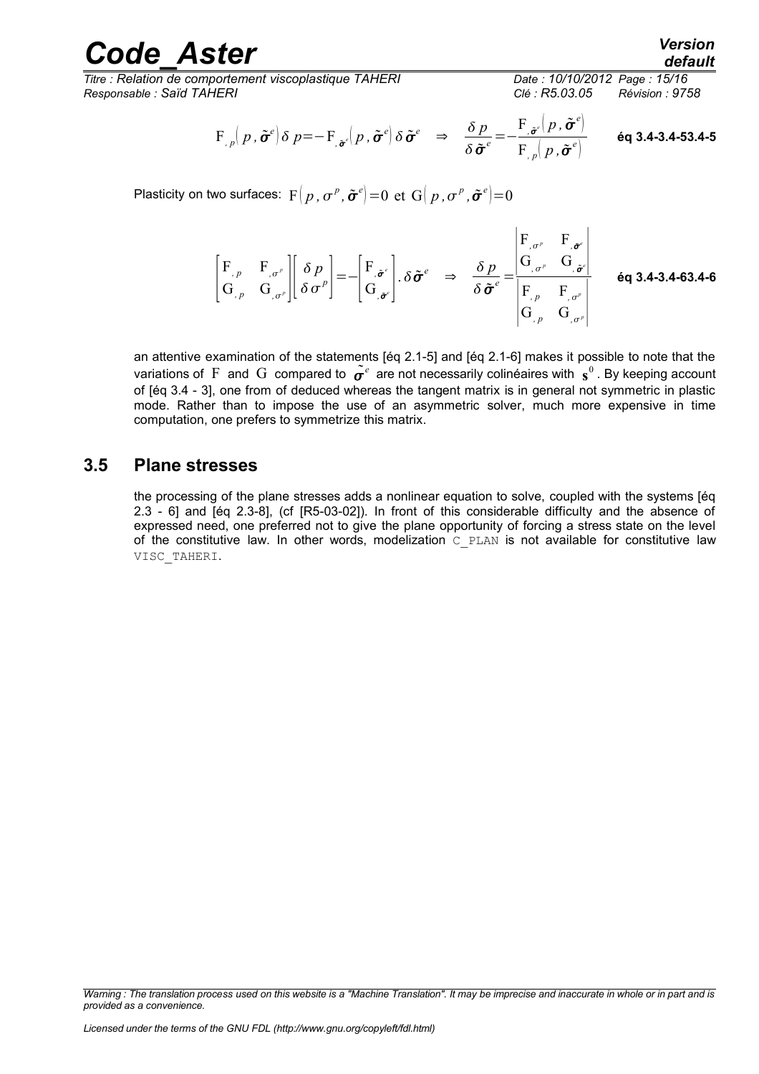*Titre : Relation de comportement viscoplastique TAHERI Date : 10/10/2012 Page : 15/16 Responsable : Saïd TAHERI Clé : R5.03.05 Révision : 9758*

$$
\mathrm{F}_{p,p}(p,\tilde{\pmb{\sigma}}^e|\delta|p=-\mathrm{F}_{p,p}(p,\tilde{\pmb{\sigma}}^e|\delta\tilde{\pmb{\sigma}}^e\;\;\Rightarrow\;\;\frac{\delta p}{\delta\tilde{\pmb{\sigma}}^e}=-\frac{\mathrm{F}_{p,p}(p,\tilde{\pmb{\sigma}}^e)}{\mathrm{F}_{p,p}(p,\tilde{\pmb{\sigma}}^e)}\qquad\text{6q 3.4-3.4-53.4-5}
$$

Plasticity on two surfaces:  $\ F\big(\,p\,,\sigma^{\,\rho},\tilde{\bm{\sigma}}^{\,e}\bigl)=0\ \ \text{et}\ \ \text{G}\big(\,p\,,\sigma^{\,\rho},\tilde{\bm{\sigma}}^{\,e}\bigl)=0$ 

$$
\begin{bmatrix}\nF_{,p} & F_{, \sigma^{\rho}} \\
G_{,p} & G_{, \sigma^{\rho}}\n\end{bmatrix}\n\begin{bmatrix}\n\delta p \\
\delta \sigma^{\rho}\n\end{bmatrix} = -\begin{bmatrix}\nF_{, \tilde{\sigma}^{\epsilon}} \\
G_{, \tilde{\sigma}^{\epsilon}}\n\end{bmatrix}.\delta \tilde{\sigma}^{\epsilon} \Rightarrow \frac{\delta p}{\delta \tilde{\sigma}^{\epsilon}} = \frac{\begin{vmatrix}\nF_{, \sigma^{\rho}} & F_{, \tilde{\sigma}^{\epsilon}} \\
G_{, \sigma^{\rho}} & G_{, \tilde{\sigma}^{\epsilon}}\n\end{vmatrix}}{\begin{vmatrix}\nF_{,p} & F_{, \sigma^{\rho}} \\
G_{,p} & G_{, \sigma^{\rho}}\n\end{vmatrix}}
$$
 6q 3.4-3.4-63.4-6

an attentive examination of the statements [éq 2.1-5] and [éq 2.1-6] makes it possible to note that the variations of  $\rm F$  and  $\rm G$  compared to  $\tilde{\bm \sigma}^e$  are not necessarily colinéaires with  $\rm\,s^0$  . By keeping account of [éq 3.4 - 3], one from of deduced whereas the tangent matrix is in general not symmetric in plastic mode. Rather than to impose the use of an asymmetric solver, much more expensive in time computation, one prefers to symmetrize this matrix.

#### **3.5 Plane stresses**

<span id="page-14-0"></span>the processing of the plane stresses adds a nonlinear equation to solve, coupled with the systems [éq 2.3 - 6] and [éq 2.3-8], (cf [R5-03-02]). In front of this considerable difficulty and the absence of expressed need, one preferred not to give the plane opportunity of forcing a stress state on the level of the constitutive law. In other words, modelization  $C$  PLAN is not available for constitutive law VISC\_TAHERI.

*Warning : The translation process used on this website is a "Machine Translation". It may be imprecise and inaccurate in whole or in part and is provided as a convenience.*